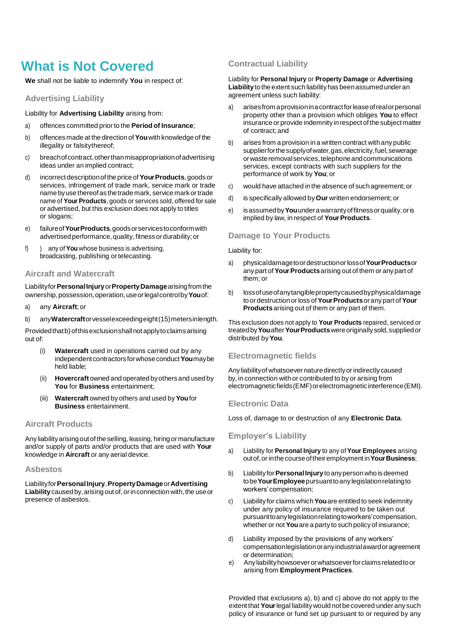# **What is Not Covered**

**We** shall not be liable to indemnify **You** in respect of:

## **Advertising Liability**

Liability for **Advertising Liability** arising from:

- a) offences committed prior to the **Period of Insurance**;
- b) offences made at the direction of**You**with knowledge of the illegality or falsitythereof;
- c) breachofcontract,otherthanmisappropriationofadvertising ideas under an implied contract;
- d) incorrectdescriptionofthe price of**YourProducts**,goods or services, infringement of trade mark, service mark or trade namebyuse thereofas the trademark,service mark ortrade name of **Your Products**, goods or services sold, offered for sale or advertised, but this exclusion does not apply to titles or slogans;
- e) failureof**YourProducts**,goodsorservicestoconformwith advertised performance, quality, fitness or durability; or
- f) ) any of**You** whose business is advertising, broadcasting, publishing ortelecasting.

## **Aircraft and Watercraft**

Liabilityfor**PersonalInjury**or**PropertyDamage**arisingfromthe ownership,possession,operation, useorlegalcontrolby**You**of:

- a) any **Aircraft**;or
- b) any**Watercraft**orvesselexceedingeight(15)metersinlength.

Providedthatb) ofthisexclusionshallnotapplytoclaimsarising out of:

- Watercraft used in operations carried out by any independent contractors for whose conduct You may be held liable;
- (ii) **Hovercraft** ownedand operated byothers and used by **You** for **Business** entertainment;
- (iii) **Watercraft** owned by others and used by**You**for **Business** entertainment.

# **Aircraft Products**

Any liability arising out of the selling, leasing, hiring or manufacture and/or supply of parts and/or products that are used with **Your**  knowledge in **Aircraft** or any aerial device.

#### **Asbestos**

Liabilityfor**PersonalInjury**,**PropertyDamage**or**Advertising**  Liability caused by, arising out of, or in connection with, the use or presence of asbestos.

# **Contractual Liability**

Liability for **Personal Injury** or **Property Damage** or **Advertising**  Liability to the extent such liability has been assumed under an agreement unless such liability:

- a) arisesfrom aprovisioninacontractforleaseofrealorpersonal property other than a provision which obliges **You** to effect insurance or provide indemnity inrespectofthe subjectmatter of contract; and
- b) arises from a provision ina written contract with any public supplierforthe supply of water, gas, electricity, fuel, sewerage orwasteremovalservices,telephoneandcommunications services, except contracts with such suppliers for the performance of work by **You**; or
- c) would have attached inthe absence of such agreement; or
- d) is specifically allowed by**Our** written endorsement; or
- e) isassumedby**You**underawarrantyoffitnessorquality,oris implied by law, in respect of **Your Products**.

# **Damage to Your Products**

#### Liability for:

- a) physicaldamagetoordestructionorlossof**YourProducts**or any part of**YourProducts**arising out of them or any part of them; or
- b) lossofuseofanytangiblepropertycausedbyphysicaldamage to or destructionor loss of**YourProducts**or any part of**Your Products** arising out of them or any part of them.

This exclusion does not apply to **Your Products** repaired, serviced or treatedby**You**after**YourProducts**wereoriginallysold,supplied or distributed by**You**.

## **Electromagnetic fields**

Anyliabilityof whatsoever naturedirectlyorindirectlycaused by, in connection with or contributed to by or arising from electromagneticfields(EMF)orelectromagneticinterference(EMI).

## **Electronic Data**

Loss of, damage to or destruction of any **Electronic Data**.

## **Employer's Liability**

- a) Liability for **Personal Injury** to any of**Your Employees** arising out of, or in the course of their employment in **Your Business**;
- b) Liabilityfor**PersonalInjury**toanypersonwho is deemed tobe**YourEmployee**pursuanttoany legislationrelatingto workers'compensation;
- c) Liabilityfor claims which**You**are entitled to seek indemnity under any policy of insurance required to be taken out pursuanttoanylegislationrelatingtoworkers'compensation, whether or not **You** are a party to such policy of insurance;
- d) Liability imposed by the provisions of any workers' compensationlegislationoranyindustrialawardoragreement or determination;
- e) Anyliabilityhowsoeverorwhatsoeverforclaimsrelatedtoor arising from **Employment Practices**.

Provided that exclusions a), b) and c) above do not apply to the extent that **Your** legal liability would not be covered under any such policy of insurance or fund set up pursuant to or required by any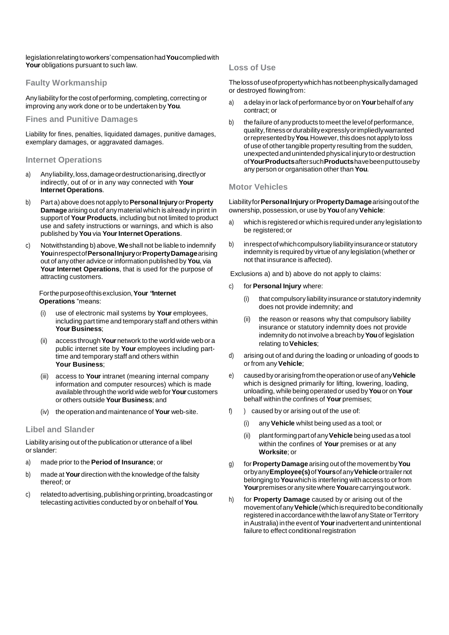legislationrelatingtoworkers'compensationhad**You**compliedwith **Your** obligations pursuant to such law.

# **Faulty Workmanship**

Any liability for the cost of performing, completing, correcting or improving any work done or to be undertaken by **You**.

# **Fines and Punitive Damages**

Liability for fines, penalties, liquidated damages, punitive damages, exemplary damages, or aggravated damages.

## **Internet Operations**

- a) Anyliability, loss, damage or destruction arising, directly or indirectly, out of or in any way connected with **Your Internet Operations**.
- b) Part a) above doesnotapplyto**PersonalInjury** or**Property Damage** arising out of anymaterialwhich isalready inprint in support of **Your Products**, including but not limited to product use and safety instructions or warnings, and which is also published by**You** via **YourInternet Operations**.
- c) Notwithstanding b) above, **We**shall not be liable to indemnify **You**inrespectof**PersonalInjury**or**PropertyDamage**arising out of any other advice or information published by**You**, via **Your Internet Operations**, that is used for the purpose of attracting customers.

#### Forthepurposeofthisexclusion,**Your "Internet Operations** "means:

- (i) use of electronic mail systems by **Your** employees, including part time and temporary staff and others within **Your Business**;
- (ii) access through**Your** network tothe world wide web or a public internet site by **Your** employees including parttime and temporary staff and others within **Your Business**;
- (iii) access to **Your** intranet (meaning internal company information and computer resources) which is made available throughthe world wide web for**Your** customers or others outside **Your Business**; and
- (iv) the operation and maintenance of **Your** web-site.

# **Libel and Slander**

Liability arising out of the publication or utterance of a libel or slander:

- a) made prior to the **Period of Insurance**; or
- b) made at**Your** direction with the knowledge of the falsity thereof; or
- c) related to advertising, publishing or printing, broadcasting or telecasting activities conducted byor on behalf of **You**.

## **Loss of Use**

The loss of use of property which has not been physically damaged or destroyed flowingfrom:

- a) a delay in or lack of performance by or on **Your** behalf of any contract; or
- b) the failure of any products to meet the level of performance, quality,fitnessordurabilityexpresslyorimpliedlywarranted orrepresentedby**You**.However, thisdoesnotapplyto loss of use of other tangible property resulting from the sudden, unexpected and unintended physical injurytoordestruction of**YourProducts**aftersuch**Products**havebeenputtouseby any person or organisation other than **You**.

# **Motor Vehicles**

Liabilityfor**PersonalInjury** or**PropertyDamage**arisingoutof the ownership, possession, or use by**You**of any**Vehicle**:

- a) which is registered or which is required under any legislation to be registered; or
- b) in respect of which compulsory liability insurance or statutory indemnity is required by virtue of any legislation (whether or not that insurance is affected).

Exclusions a) and b) above do not apply to claims:

- c) for **Personal Injury** where:
	- (i) that compulsory liability insurance or statutory indemnity does not provide indemnity; and
	- (ii) the reason or reasons why that compulsory liability insurance or statutory indemnity does not provide indemnity do not involve a breach by**You**of legislation relating to**Vehicles**;
- d) arising out of and during the loading or unloading of goods to or from any**Vehicle**;
- e) causedbyorarisingfrom theoperationor useof any**Vehicle**  which is designed primarily for lifting, lowering, loading, unloading, while beingoperated or usedby**You**or on **Your**  behalf within the confines of **Your** premises;
- f) ) caused by or arising out of the use of:
	- (i) any**Vehicle** whilst being used as a tool; or
	- (ii) plant forming part ofany**Vehicle** being used asatool within the confines of **Your** premises or at any **Worksite**; or
- g) for**PropertyDamage** arising out ofthemovement by**You**  orbyany**Employee(s)**of**Yours**ofany**Vehicle**ortrailernot belonging to**You**whichis interfering withaccess to orfrom **Your**premisesoranysitewhere**You**arecarryingoutwork.
- h) for **Property Damage** caused by or arising out of the movementofany**Vehicle**(whichisrequiredtobeconditionally registered in accordance with the law of any State or Territory inAustralia)inthe event of**Your**inadvertent and unintentional failure to effect conditional registration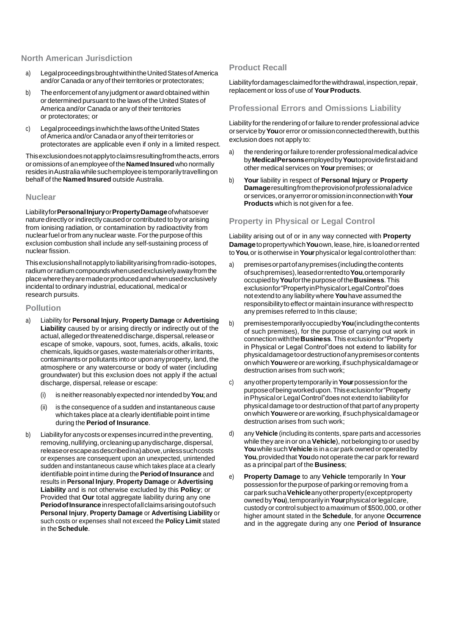## **North American Jurisdiction**

- a) LegalproceedingsbroughtwithintheUnitedStatesofAmerica and/or Canada or any of their territories or protectorates;
- b) The enforcement of any judgment or award obtained within or determined pursuant to the laws of the United States of America and/or Canada or any of their territories or protectorates; or
- c) Legalproceedings inwhichthelawsoftheUnitedStates ofAmerica and/or Canada or anyof theirterritories or protectorates are applicable even if only in a limited respect.

Thisexclusiondoesnotapplytoclaimsresultingfromtheacts,errors or omissions of anemployee of the**NamedInsured** who normally resides inAustraliawhilesuchemployeeistemporarilytravellingon behalf of the **Named Insured** outside Australia.

#### **Nuclear**

Liabilityfor**PersonalInjury**or**PropertyDamage**ofwhatsoever nature directlyor indirectlycaused or contributed tobyor arising from ionising radiation, or contamination by radioactivity from nuclearfuel orfrom anynuclear waste.Forthe purposeofthis exclusion combustion shall include any self-sustaining process of nuclear fission.

Thisexclusionshallnotapplyto liabilityarisingfromradio-isotopes, radium orradium compoundswhenusedexclusivelyawayfrom the placewheretheyaremadeorproducedandwhenusedexclusively incidental to ordinary industrial, educational, medical or research pursuits.

#### **Pollution**

- a) Liability for **Personal Injury**, **Property Damage** or **Advertising Liability** caused by or arising directly or indirectly out of the actual, alleged or threatened discharge, dispersal, release or escape of smoke, vapours, soot, fumes, acids, alkalis, toxic chemicals, liquids or gases, waste materials or other irritants, contaminants or pollutants intoor uponanyproperty, land, the atmosphere or any watercourse or body of water (including groundwater) but this exclusion does not apply if the actual discharge, dispersal, release or escape:
	- (i) is neitherreasonablyexpected nor intendedby**You**;and
	- (ii) is the consequence of a sudden and instantaneous cause which takes place at a clearly identifiable point intime during the **Period of Insurance**.
- b) Liability for any costs or expenses incurred in the preventing, removing, nullifying, or cleaning up any discharge, dispersal, releaseorescapeasdescribedina)above,unlesssuchcosts or expenses are consequent upon an unexpected, unintended sudden and instantaneous cause which takes place at a clearly identifiable point intime during the**Periodof Insurance** and results in **Personal Injury**, **Property Damage** or **Advertising Liability** and is not otherwise excluded by this **Policy**; or Provided that **Our** total aggregate liability during any one **PeriodofInsurance** inrespectofallclaimsarisingoutofsuch **Personal Injury**, **Property Damage** or **Advertising Liability** or such costs or expenses shall not exceed the **Policy Limit** stated in the**Schedule**.

## **Product Recall**

Liabilityfordamagesclaimedforthe withdrawal, inspection, repair, replacement or loss of use of **Your Products**.

## **Professional Errors and Omissions Liability**

Liability for the rendering of orfailure to render professional advice orservice by**You**or error or omissionconnected therewith, but this exclusion does not apply to:

- a) the rendering or failure to render professional medical advice by**MedicalPersons**employedby**You**toprovidefirstaidand other medical services on **Your** premises; or
- b) **Your** liability in respect of **Personal Injury** or **Property Damage**resultingfrom theprovisionofprofessionaladvice orservices,oranyerrororomissioninconnectionwith**Your Products** which is not given for a fee.

## **Property in Physical or Legal Control**

Liability arising out of or in any way connected with **Property Damage** to property which **You**own, lease, hire, is loaned or rented to**You**,or isotherwise in **Your**physicalor legal controlotherthan:

- a) premisesorpartofanypremises(includingthecontents ofsuchpremises),leasedorrentedto**You**,ortemporarily occupied by**You**forthe purpose ofthe**Business**.This exclusionfor"PropertyinPhysicalorLegalControl"does not extend to any liabilitywhere **You**have assumed the responsibility to effect or maintain insurance with respect to any premises referred to In this clause;
- b) premisestemporarilyoccupiedby**You**(includingthecontents of such premises), for the purpose of carrying out work in connectionwiththe**Business**.This exclusionfor"Property in Physical or Legal Control"does not extend to liability for physicaldamagetoordestructionofanypremisesorcontents onwhich**You**wereor areworking, if suchphysicaldamageor destruction arises from such work;
- c) anyother propertytemporarily in**Your**possessionforthe purposeofbeingworkedupon.Thisexclusionfor"Property inPhysicalor LegalControl"does not extend to liabilityfor physical damage to or destruction of that part of anyproperty onwhich**You**wereor areworking, ifsuchphysicaldamageor destruction arises from such work;
- d) any **Vehicle** (including its contents, spare parts and accessories while they are in or ona**Vehicle**), not belonging to or used by **You**whilesuch**Vehicle** is inacar park ownedor operatedby **You**, provided that **You** do not operate the car park for reward as a principal part of the **Business**;
- e) **Property Damage** to any **Vehicle** temporarily In **Your**  possessionfor the purpose of parking orremoving from a carparksucha**Vehicle**anyotherproperty(exceptproperty owned by**You**),temporarilyin**Your**physicalorlegalcare, custody or control subject toamaximum of \$500,000, or other higher amount stated in the **Schedule**, for anyone **Occurrence**  and in the aggregate during any one **Period of Insurance**